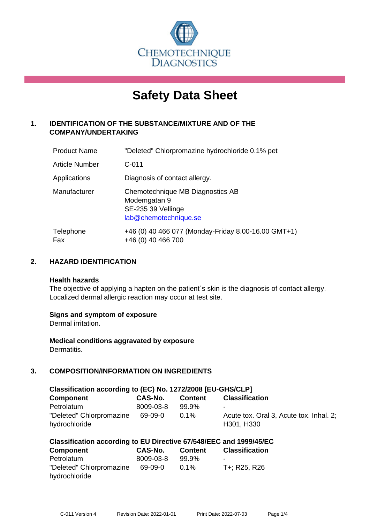

# **Safety Data Sheet**

# **1. IDENTIFICATION OF THE SUBSTANCE/MIXTURE AND OF THE COMPANY/UNDERTAKING**

| <b>Product Name</b>   | "Deleted" Chlorpromazine hydrochloride 0.1% pet                                                 |
|-----------------------|-------------------------------------------------------------------------------------------------|
| <b>Article Number</b> | $C - 011$                                                                                       |
| Applications          | Diagnosis of contact allergy.                                                                   |
| Manufacturer          | Chemotechnique MB Diagnostics AB<br>Modemgatan 9<br>SE-235 39 Vellinge<br>lab@chemotechnique.se |
| Telephone<br>Fax      | +46 (0) 40 466 077 (Monday-Friday 8.00-16.00 GMT+1)<br>+46 (0) 40 466 700                       |

## **2. HAZARD IDENTIFICATION**

#### **Health hazards**

The objective of applying a hapten on the patient's skin is the diagnosis of contact allergy. Localized dermal allergic reaction may occur at test site.

## **Signs and symptom of exposure**

Dermal irritation.

**Medical conditions aggravated by exposure** Dermatitis.

# **3. COMPOSITION/INFORMATION ON INGREDIENTS**

| Classification according to (EC) No. 1272/2008 [EU-GHS/CLP] |           |                |                                                       |  |
|-------------------------------------------------------------|-----------|----------------|-------------------------------------------------------|--|
| Component                                                   | CAS-No.   | <b>Content</b> | <b>Classification</b>                                 |  |
| Petrolatum                                                  | 8009-03-8 | 99.9%          | $\blacksquare$                                        |  |
| "Deleted" Chlorpromazine<br>hydrochloride                   | 69-09-0   | $0.1\%$        | Acute tox. Oral 3, Acute tox. Inhal. 2;<br>H301, H330 |  |

| <b>Component</b>         | CAS-No.   | <b>Content</b> | <b>Classification</b> |
|--------------------------|-----------|----------------|-----------------------|
| Petrolatum               | 8009-03-8 | 99.9%          |                       |
| "Deleted" Chlorpromazine | 69-09-0   | $0.1\%$        | T+; R25, R26          |
| hydrochloride            |           |                |                       |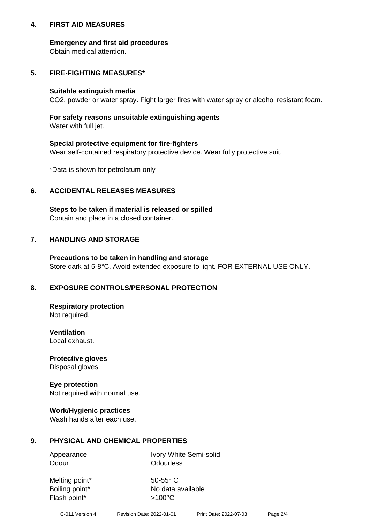## **4. FIRST AID MEASURES**

## **Emergency and first aid procedures**

Obtain medical attention.

# **5. FIRE-FIGHTING MEASURES\***

#### **Suitable extinguish media**

CO2, powder or water spray. Fight larger fires with water spray or alcohol resistant foam.

# **For safety reasons unsuitable extinguishing agents**

Water with full jet.

## **Special protective equipment for fire-fighters**

Wear self-contained respiratory protective device. Wear fully protective suit.

\*Data is shown for petrolatum only

## **6. ACCIDENTAL RELEASES MEASURES**

**Steps to be taken if material is released or spilled** Contain and place in a closed container.

# **7. HANDLING AND STORAGE**

**Precautions to be taken in handling and storage** Store dark at 5-8°C. Avoid extended exposure to light. FOR EXTERNAL USE ONLY.

# **8. EXPOSURE CONTROLS/PERSONAL PROTECTION**

**Respiratory protection** Not required.

**Ventilation** Local exhaust.

**Protective gloves** Disposal gloves.

#### **Eye protection** Not required with normal use.

## **Work/Hygienic practices**

Wash hands after each use.

## **9. PHYSICAL AND CHEMICAL PROPERTIES**

Odour **Odourless** 

Appearance Ivory White Semi-solid

Melting point\* 50-55° C Flash point\*  $>100^{\circ}$ C

Boiling point\* No data available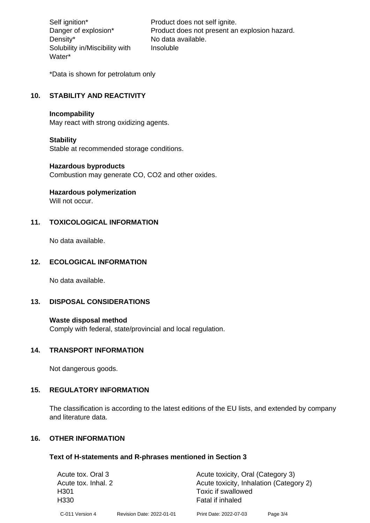Density\* No data available. Solubility in/Miscibility with Water\*

Self ignition\* Product does not self ignite. Danger of explosion\* Product does not present an explosion hazard. Insoluble

\*Data is shown for petrolatum only

# **10. STABILITY AND REACTIVITY**

#### **Incompability**

May react with strong oxidizing agents.

#### **Stability**

Stable at recommended storage conditions.

#### **Hazardous byproducts**

Combustion may generate CO, CO2 and other oxides.

**Hazardous polymerization**

Will not occur.

## **11. TOXICOLOGICAL INFORMATION**

No data available.

## **12. ECOLOGICAL INFORMATION**

No data available.

## **13. DISPOSAL CONSIDERATIONS**

#### **Waste disposal method**

Comply with federal, state/provincial and local regulation.

#### **14. TRANSPORT INFORMATION**

Not dangerous goods.

## **15. REGULATORY INFORMATION**

The classification is according to the latest editions of the EU lists, and extended by company and literature data.

#### **16. OTHER INFORMATION**

#### **Text of H-statements and R-phrases mentioned in Section 3**

| Acute tox. Oral 3   |                           | Acute toxicity, Oral (Category 3)       |          |  |
|---------------------|---------------------------|-----------------------------------------|----------|--|
| Acute tox. Inhal. 2 |                           | Acute toxicity, Inhalation (Category 2) |          |  |
| H <sub>301</sub>    |                           | Toxic if swallowed                      |          |  |
| H <sub>330</sub>    |                           | Fatal if inhaled                        |          |  |
| C-011 Version 4     | Revision Date: 2022-01-01 | Print Date: 2022-07-03                  | Page 3/4 |  |